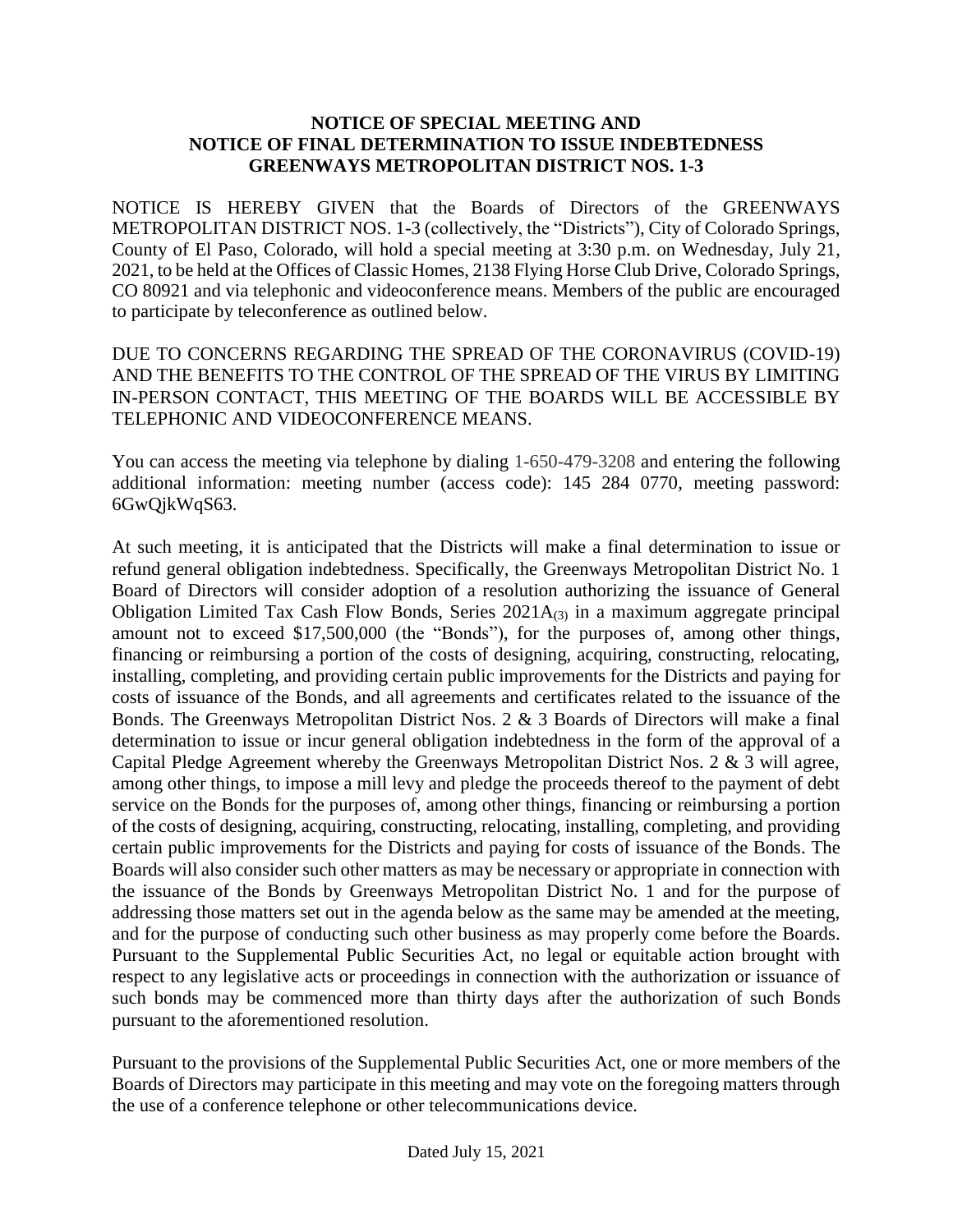## **NOTICE OF SPECIAL MEETING AND NOTICE OF FINAL DETERMINATION TO ISSUE INDEBTEDNESS GREENWAYS METROPOLITAN DISTRICT NOS. 1-3**

NOTICE IS HEREBY GIVEN that the Boards of Directors of the GREENWAYS METROPOLITAN DISTRICT NOS. 1-3 (collectively, the "Districts"), City of Colorado Springs, County of El Paso, Colorado, will hold a special meeting at 3:30 p.m. on Wednesday, July 21, 2021, to be held at the Offices of Classic Homes, 2138 Flying Horse Club Drive, Colorado Springs, CO 80921 and via telephonic and videoconference means. Members of the public are encouraged to participate by teleconference as outlined below.

DUE TO CONCERNS REGARDING THE SPREAD OF THE CORONAVIRUS (COVID-19) AND THE BENEFITS TO THE CONTROL OF THE SPREAD OF THE VIRUS BY LIMITING IN-PERSON CONTACT, THIS MEETING OF THE BOARDS WILL BE ACCESSIBLE BY TELEPHONIC AND VIDEOCONFERENCE MEANS.

You can access the meeting via telephone by dialing 1-650-479-3208 and entering the following additional information: meeting number (access code): 145 284 0770, meeting password: 6GwQjkWqS63.

At such meeting, it is anticipated that the Districts will make a final determination to issue or refund general obligation indebtedness. Specifically, the Greenways Metropolitan District No. 1 Board of Directors will consider adoption of a resolution authorizing the issuance of General Obligation Limited Tax Cash Flow Bonds, Series  $2021A_{(3)}$  in a maximum aggregate principal amount not to exceed \$17,500,000 (the "Bonds"), for the purposes of, among other things, financing or reimbursing a portion of the costs of designing, acquiring, constructing, relocating, installing, completing, and providing certain public improvements for the Districts and paying for costs of issuance of the Bonds, and all agreements and certificates related to the issuance of the Bonds. The Greenways Metropolitan District Nos. 2 & 3 Boards of Directors will make a final determination to issue or incur general obligation indebtedness in the form of the approval of a Capital Pledge Agreement whereby the Greenways Metropolitan District Nos. 2 & 3 will agree, among other things, to impose a mill levy and pledge the proceeds thereof to the payment of debt service on the Bonds for the purposes of, among other things, financing or reimbursing a portion of the costs of designing, acquiring, constructing, relocating, installing, completing, and providing certain public improvements for the Districts and paying for costs of issuance of the Bonds. The Boards will also consider such other matters as may be necessary or appropriate in connection with the issuance of the Bonds by Greenways Metropolitan District No. 1 and for the purpose of addressing those matters set out in the agenda below as the same may be amended at the meeting, and for the purpose of conducting such other business as may properly come before the Boards. Pursuant to the Supplemental Public Securities Act, no legal or equitable action brought with respect to any legislative acts or proceedings in connection with the authorization or issuance of such bonds may be commenced more than thirty days after the authorization of such Bonds pursuant to the aforementioned resolution.

Pursuant to the provisions of the Supplemental Public Securities Act, one or more members of the Boards of Directors may participate in this meeting and may vote on the foregoing matters through the use of a conference telephone or other telecommunications device.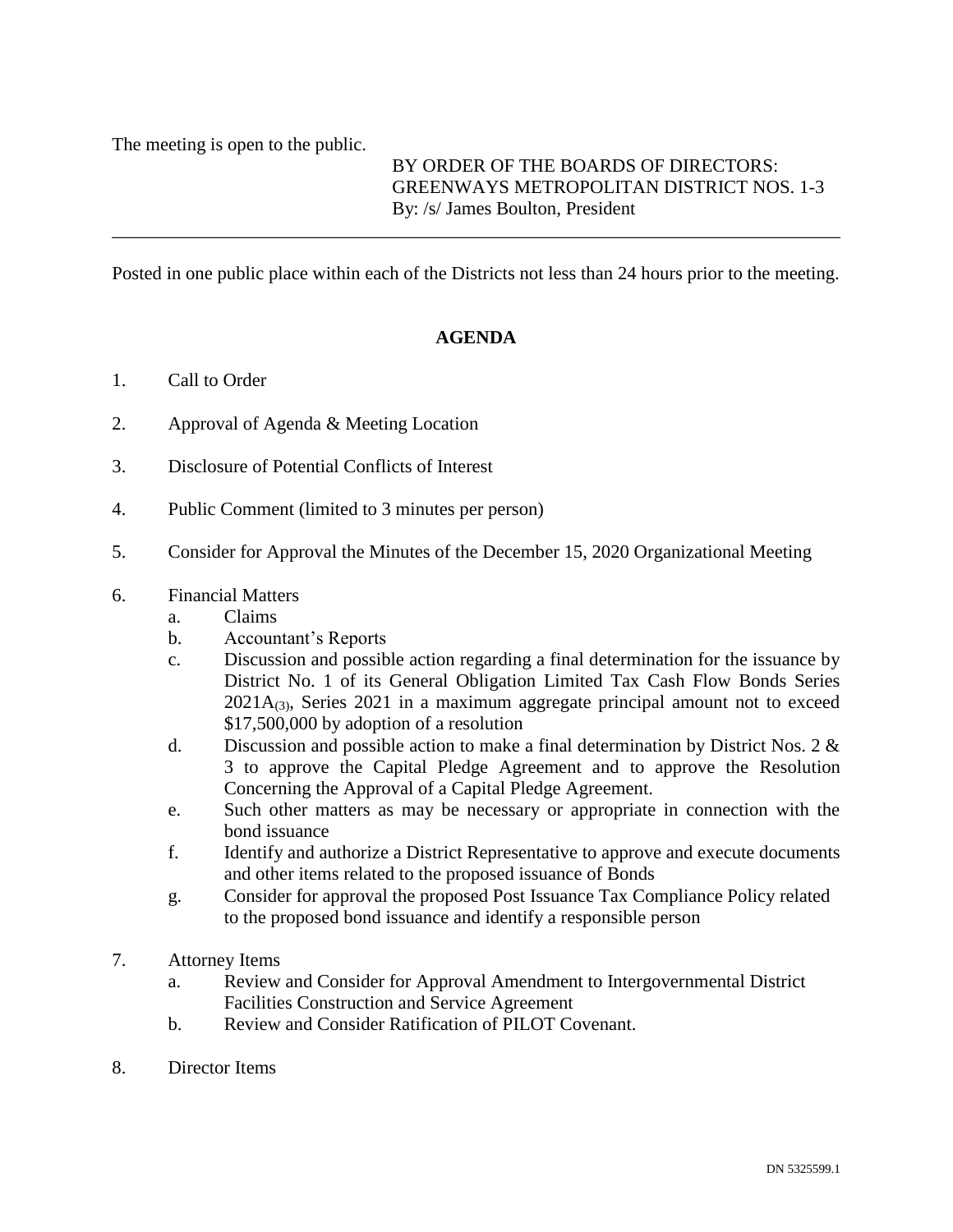The meeting is open to the public.

BY ORDER OF THE BOARDS OF DIRECTORS: GREENWAYS METROPOLITAN DISTRICT NOS. 1-3 By: /s/ James Boulton, President

Posted in one public place within each of the Districts not less than 24 hours prior to the meeting.

\_\_\_\_\_\_\_\_\_\_\_\_\_\_\_\_\_\_\_\_\_\_\_\_\_\_\_\_\_\_\_\_\_\_\_\_\_\_\_\_\_\_\_\_\_\_\_\_\_\_\_\_\_\_\_\_\_\_\_\_\_\_\_\_\_\_\_\_\_\_\_\_\_\_\_\_\_\_

## **AGENDA**

- 1. Call to Order
- 2. Approval of Agenda & Meeting Location
- 3. Disclosure of Potential Conflicts of Interest
- 4. Public Comment (limited to 3 minutes per person)
- 5. Consider for Approval the Minutes of the December 15, 2020 Organizational Meeting
- 6. Financial Matters
	- a. Claims
	- b. Accountant's Reports
	- c. Discussion and possible action regarding a final determination for the issuance by District No. 1 of its General Obligation Limited Tax Cash Flow Bonds Series  $2021A_{(3)}$ , Series 2021 in a maximum aggregate principal amount not to exceed \$17,500,000 by adoption of a resolution
	- d. Discussion and possible action to make a final determination by District Nos. 2 & 3 to approve the Capital Pledge Agreement and to approve the Resolution Concerning the Approval of a Capital Pledge Agreement.
	- e. Such other matters as may be necessary or appropriate in connection with the bond issuance
	- f. Identify and authorize a District Representative to approve and execute documents and other items related to the proposed issuance of Bonds
	- g. Consider for approval the proposed Post Issuance Tax Compliance Policy related to the proposed bond issuance and identify a responsible person
- 7. Attorney Items
	- a. Review and Consider for Approval Amendment to Intergovernmental District Facilities Construction and Service Agreement
	- b. Review and Consider Ratification of PILOT Covenant.
- 8. Director Items